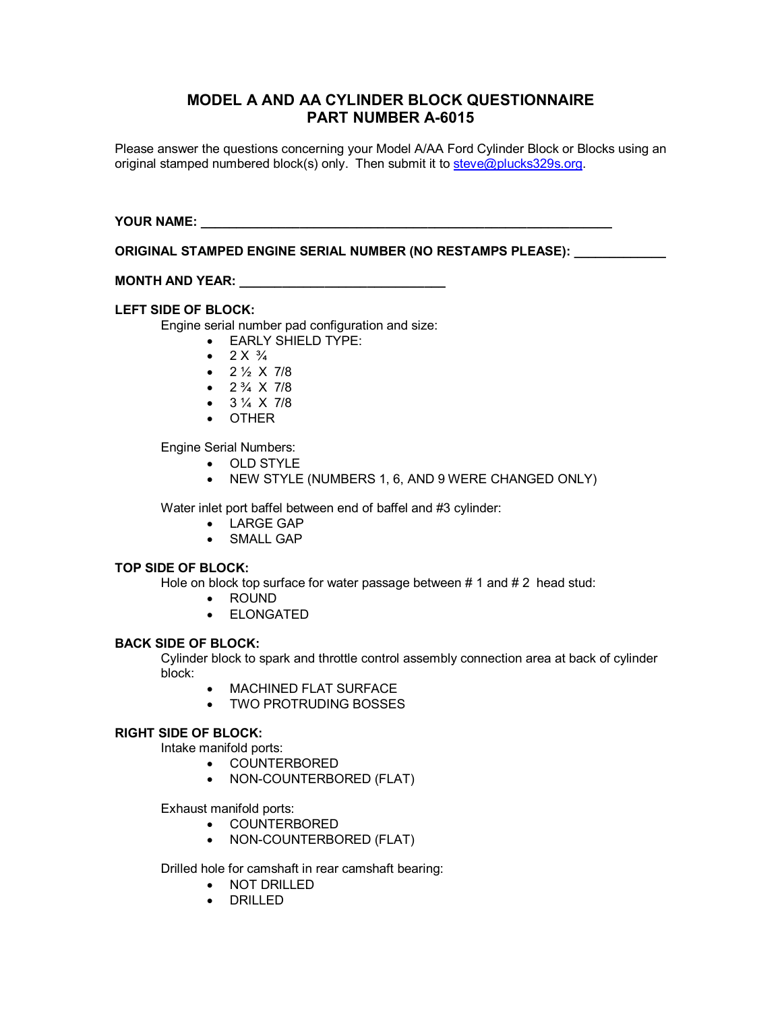# **MODEL A AND AA CYLINDER BLOCK QUESTIONNAIRE PART NUMBER A-6015**

Please answer the questions concerning your Model A/AA Ford Cylinder Block or Blocks using an original stamped numbered block(s) only. Then submit it to [steve@plucks329s.org](mailto:steve@plucks329s.org).

**YOUR NAME: \_\_\_\_\_\_\_\_\_\_\_\_\_\_\_\_\_\_\_\_\_\_\_\_\_\_\_\_\_\_\_\_\_\_\_\_\_\_\_\_\_\_\_\_\_\_\_\_\_\_\_\_\_\_\_\_\_\_** 

**ORIGINAL STAMPED ENGINE SERIAL NUMBER (NO RESTAMPS PLEASE): \_\_\_\_\_\_\_\_\_\_\_\_\_** 

**MONTH AND YEAR: \_\_\_\_\_\_\_\_\_\_\_\_\_\_\_\_\_\_\_\_\_\_\_\_\_\_\_\_\_** 

## **LEFT SIDE OF BLOCK:**

Engine serial number pad configuration and size:

- · EARLY SHIELD TYPE:
- $2 \times \frac{3}{4}$
- $2\frac{1}{2}$  X 7/8
- $2\frac{3}{4} \times 7/8$
- $3\frac{1}{4} \times 7/8$
- · OTHER

Engine Serial Numbers:

- · OLD STYLE
- · NEW STYLE (NUMBERS 1, 6, AND 9 WERE CHANGED ONLY)

Water inlet port baffel between end of baffel and #3 cylinder:

- · LARGE GAP
- · SMALL GAP

#### **TOP SIDE OF BLOCK:**

Hole on block top surface for water passage between # 1 and # 2 head stud:

- · ROUND
- · ELONGATED

#### **BACK SIDE OF BLOCK:**

Cylinder block to spark and throttle control assembly connection area at back of cylinder block:

- · MACHINED FLAT SURFACE
- · TWO PROTRUDING BOSSES

### **RIGHT SIDE OF BLOCK:**

Intake manifold ports:

- · COUNTERBORED
- · NON-COUNTERBORED (FLAT)

Exhaust manifold ports:

- · COUNTERBORED
- · NON-COUNTERBORED (FLAT)

Drilled hole for camshaft in rear camshaft bearing:

- · NOT DRILLED
- · DRILLED